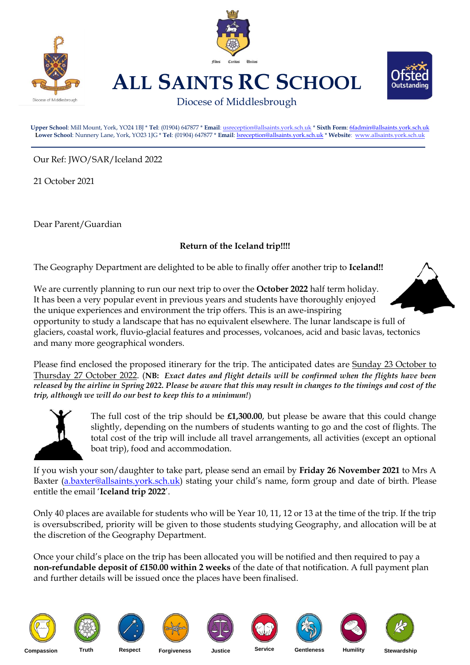



**ALL SAINTS RC SCHOOL**



Diocese of Middlesbrough

**Upper School**: Mill Mount, York, YO24 1BJ \* **Tel**: (01904) 647877 \* **Email**[: usreception@allsaints.york.sch.uk](mailto:usreception@allsaints.york.sch.uk) \* **Sixth Form**[: 6fadmin@allsaints.york.sch.uk](mailto:6fadmin@allsaints.york.sch.uk) **Lower School**: Nunnery Lane, York, YO23 1JG \* **Tel**: (01904) 647877 \* **Email**[: lsreception@allsaints.york.sch.uk](mailto:lsreception@allsaints.york.sch.uk) \* **Website**: www.allsaints.york.sch.uk

Our Ref: JWO/SAR/Iceland 2022

21 October 2021

Dear Parent/Guardian

## **Return of the Iceland trip!!!!**

The Geography Department are delighted to be able to finally offer another trip to **Iceland!!**

We are currently planning to run our next trip to over the **October 2022** half term holiday. It has been a very popular event in previous years and students have thoroughly enjoyed the unique experiences and environment the trip offers. This is an awe-inspiring

opportunity to study a landscape that has no equivalent elsewhere. The lunar landscape is full of glaciers, coastal work, fluvio-glacial features and processes, volcanoes, acid and basic lavas, tectonics and many more geographical wonders.

Please find enclosed the proposed itinerary for the trip. The anticipated dates are Sunday 23 October to Thursday 27 October 2022. (**NB:** *Exact dates and flight details will be confirmed when the flights have been released by the airline in Spring 2022. Please be aware that this may result in changes to the timings and cost of the trip, although we will do our best to keep this to a minimum!*)



The full cost of the trip should be **£1,300.00**, but please be aware that this could change slightly, depending on the numbers of students wanting to go and the cost of flights. The total cost of the trip will include all travel arrangements, all activities (except an optional boat trip), food and accommodation.

If you wish your son/daughter to take part, please send an email by **Friday 26 November 2021** to Mrs A Baxter [\(a.baxter@allsaints.york.sch.uk\)](mailto:a.baxter@allsaints.york.sch.uk) stating your child's name, form group and date of birth. Please entitle the email '**Iceland trip 2022**'.

Only 40 places are available for students who will be Year 10, 11, 12 or 13 at the time of the trip. If the trip is oversubscribed, priority will be given to those students studying Geography, and allocation will be at the discretion of the Geography Department.

Once your child's place on the trip has been allocated you will be notified and then required to pay a **non-refundable deposit of £150.00 within 2 weeks** of the date of that notification. A full payment plan and further details will be issued once the places have been finalised.

















**Compassion Truth Respect Forgiveness Justice Service Gentleness Humility Stewardship**